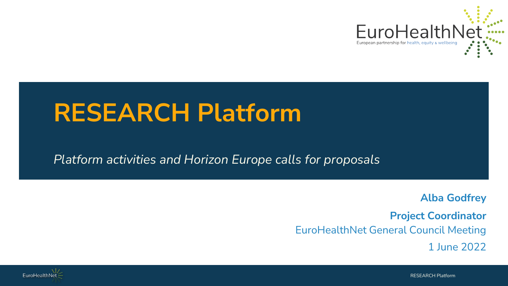

### **RESEARCH Platform**

#### *Platform activities and Horizon Europe calls for proposals*

**Alba Godfrey**

**Project Coordinator** EuroHealthNet General Council Meeting

1 June 2022

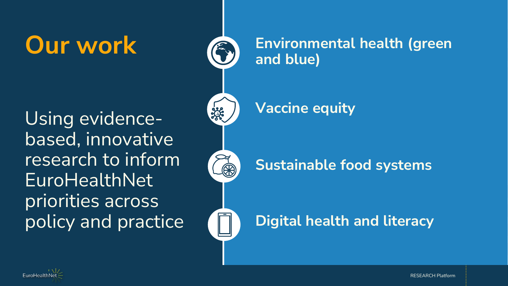Using evidencebased, innovative research to inform EuroHealthNet priorities across policy and practice

### **Our work CD** Environmental health (green **and blue)**

**Vaccine equity**

338

### **Sustainable food systems**

### **Digital health and literacy**

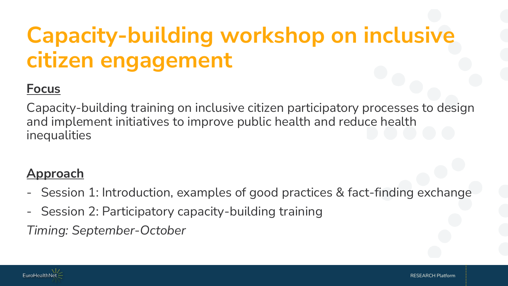# **Capacity-building workshop on inclusive citizen engagement**

### **Focus**

Capacity-building training on inclusive citizen participatory processes to design and implement initiatives to improve public health and reduce health inequalities

#### **Approach**

- Session 1: Introduction, examples of good practices & fact-finding exchange
- Session 2: Participatory capacity-building training

*Timing: September-October*

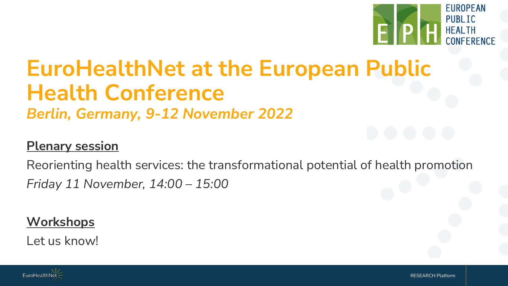

# **EuroHealthNet at the European Public Health Conference**

*Berlin, Germany, 9-12 November 2022*

#### **Plenary session**

Reorienting health services: the transformational potential of health promotion *Friday 11 November, 14:00 – 15:00*

### **Workshops**

Let us know!

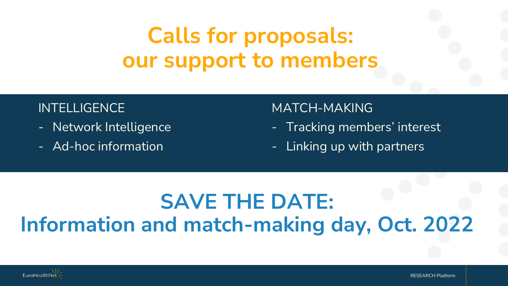## **Calls for proposals: our support to members**

#### INTELLIGENCE

- Network Intelligence
- Ad-hoc information

#### MATCH-MAKING

- Tracking members' interest
- Linking up with partners

### **SAVE THE DATE: Information and match-making day, Oct. 2022**

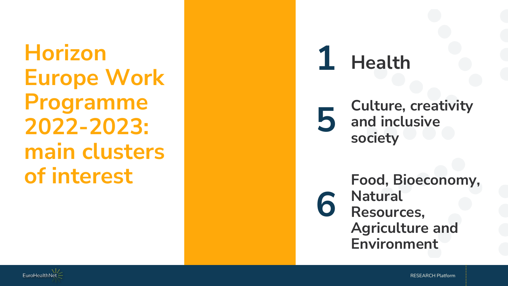**Horizon Europe Work Programme 2022 -2023: main clusters of interest**

**Health 156**

6

**Culture, creativity**  5 **and inclusive society**

> **Food, Bioeconomy, Natural Resources, Agriculture and Environment**

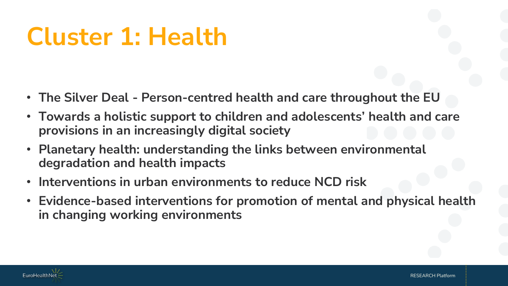# **Cluster 1: Health**

- **The Silver Deal - Person-centred health and care throughout the EU**
- **Towards a holistic support to children and adolescents' health and care provisions in an increasingly digital society**
- **Planetary health: understanding the links between environmental degradation and health impacts**
- **Interventions in urban environments to reduce NCD risk**
- **Evidence-based interventions for promotion of mental and physical health in changing working environments**